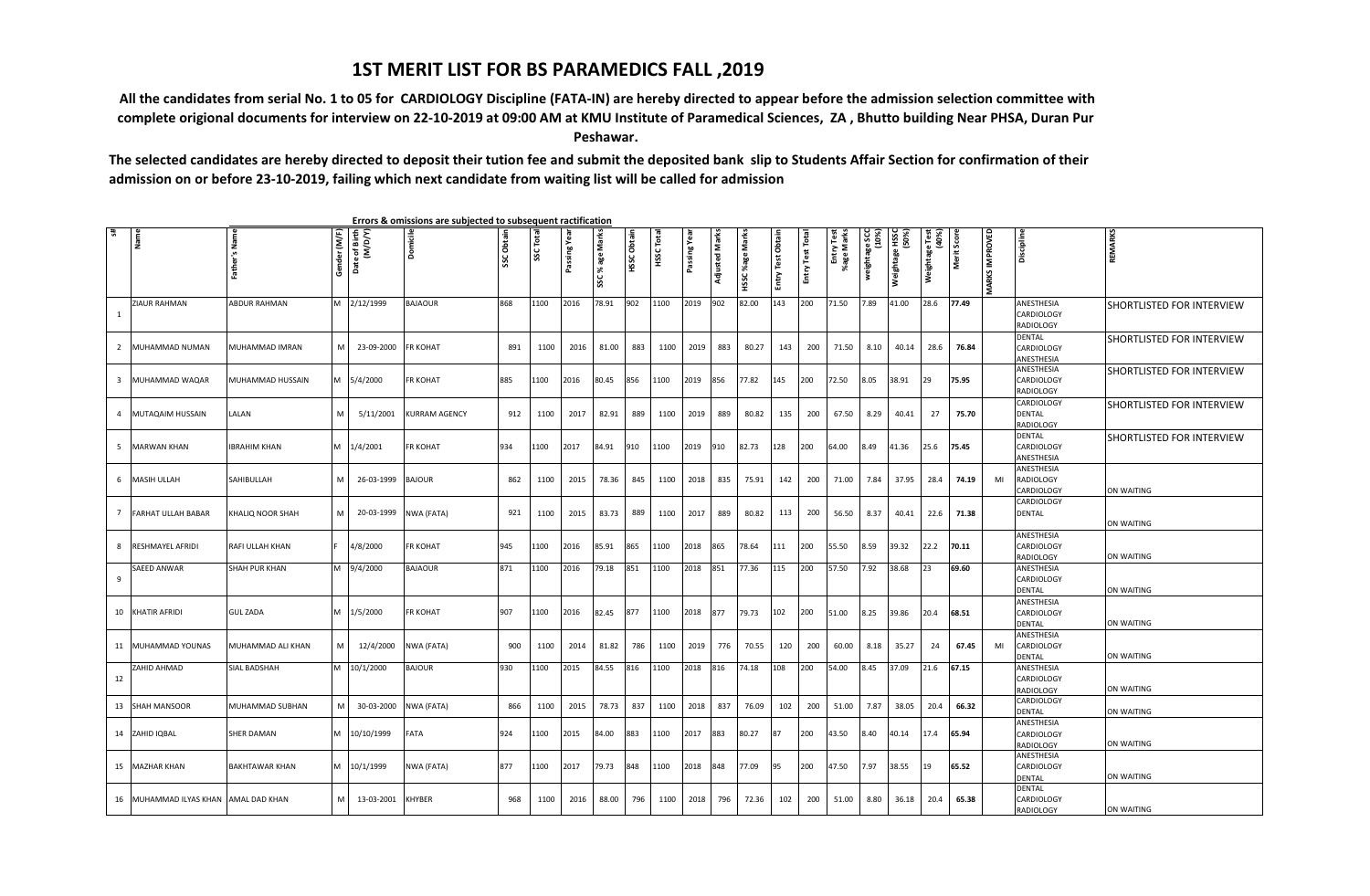## **1ST MERIT LIST FOR BS PARAMEDICS FALL ,2019**

 **All the candidates from serial No. 1 to 05 for CARDIOLOGY Discipline (FATA-IN) are hereby directed to appear before the admission selection committee with complete origional documents for interview on 22-10-2019 at 09:00 AM at KMU Institute of Paramedical Sciences, ZA , Bhutto building Near PHSA, Duran Pur Peshawar.**

**The selected candidates are hereby directed to deposit their tution fee and submit the deposited bank slip to Students Affair Section for confirmation of their admission on or before 23-10-2019, failing which next candidate from waiting list will be called for admission**

| 于                       | Name                   | Father's Name       | Gender (M/F) | Date of Birth<br>(M/D/Y) | Domicile             | SSC Obtain | <b>SSCTotal</b> | Passing Yea | SSC% age Marks | HSSC Obtain | HSSC Total | Passing Yea | ∣≅<br>Adjusted | Marks<br>%age | Obtain     | Test Total | Entry Test<br>%age Marks | weightage SCC<br>(10%) | (%OS)<br>Mei&ua&e HSSC | Weightage Test<br>(40%) | Merit Score | <b>MARKS IMPROVED</b> | Discipline                                          | REMARKS                          |
|-------------------------|------------------------|---------------------|--------------|--------------------------|----------------------|------------|-----------------|-------------|----------------|-------------|------------|-------------|----------------|---------------|------------|------------|--------------------------|------------------------|------------------------|-------------------------|-------------|-----------------------|-----------------------------------------------------|----------------------------------|
|                         |                        |                     |              |                          |                      |            |                 |             |                |             |            |             |                | HSSC          | Entry Test | Entry`     |                          |                        |                        |                         |             |                       |                                                     |                                  |
| - 1                     | ZIAUR RAHMAN           | ABDUR RAHMAN        |              | M 2/12/1999              | <b>BAJAOUR</b>       | 868        | 1100            | 2016        | 78.91          | 902         | 1100       | 2019        | 902            | 82.00         | 143        | 200        | 71.50                    | 7.89                   | 41.00                  | 28.6                    | 77.49       |                       | ANESTHESIA<br><b>CARDIOLOGY</b><br><b>RADIOLOGY</b> | SHORTLISTED FOR INTERVIEW        |
| $\overline{2}$          | MUHAMMAD NUMAN         | MUHAMMAD IMRAN      | M            | 23-09-2000               | <b>FR KOHAT</b>      | 891        | 1100            | 2016        | 81.00          | 883         | 1100       | 2019        | 883            | 80.27         | 143        | 200        | 71.50                    | 8.10                   | 40.14                  | 28.6                    | 76.84       |                       | DENTAL<br>CARDIOLOGY<br>ANESTHESIA                  | SHORTLISTED FOR INTERVIEW        |
| $\overline{\mathbf{3}}$ | MUHAMMAD WAQAR         | MUHAMMAD HUSSAIN    |              | M 5/4/2000               | <b>FR KOHAT</b>      | 885        | 1100            | 2016        | 80.45          | 856         | 1100       | 2019        | 856            | 77.82         | 145        | 200        | 72.50                    | 8.05                   | 38.91                  | 29                      | 75.95       |                       | ANESTHESIA<br>CARDIOLOGY<br><b>RADIOLOGY</b>        | <b>SHORTLISTED FOR INTERVIEW</b> |
|                         | 4 MUTAQAIM HUSSAIN     | LALAN               | M            | 5/11/2001                | <b>KURRAM AGENCY</b> | 912        | 1100            | 2017        | 82.91          | 889         | 1100       | 2019        | 889            | 80.82         | 135        | 200        | 67.50                    | 8.29                   | 40.41                  | 27                      | 75.70       |                       | CARDIOLOGY<br>DENTAL<br>RADIOLOGY                   | SHORTLISTED FOR INTERVIEW        |
|                         | 5 MARWAN KHAN          | <b>IBRAHIM KHAN</b> |              | M 1/4/2001               | <b>FR KOHAT</b>      | 934        | 1100            | 2017        | 84.91          | 910         | 1100       | 2019        | 910            | 82.73         | 128        | 200        | 64.00                    | 8.49                   | 41.36                  | 25.6                    | 75.45       |                       | DENTAL<br>CARDIOLOGY<br>ANESTHESIA                  | SHORTLISTED FOR INTERVIEW        |
|                         | 6 MASIH ULLAH          | SAHIBULLAH          | M            | 26-03-1999 BAJOUR        |                      | 862        | 1100            | 2015        | 78.36          | 845         | 1100       | 2018        | 835            | 75.91         | 142        | 200        | 71.00                    | 7.84                   | 37.95                  | 28.4                    | 74.19       | MI                    | ANESTHESIA<br>RADIOLOGY<br>CARDIOLOGY               | ON WAITING                       |
|                         | 7 FARHAT ULLAH BABAR   | KHALIQ NOOR SHAH    | M            | 20-03-1999               | NWA (FATA)           | 921        | 1100            | 2015        | 83.73          | 889         | 1100       | 2017        | 889            | 80.82         | 113        | 200        | 56.50                    | 8.37                   | 40.41                  | 22.6                    | 71.38       |                       | CARDIOLOGY<br>DENTAL                                | ON WAITING                       |
| -8                      | RESHMAYEL AFRIDI       | RAFI ULLAH KHAN     |              | 4/8/2000                 | <b>FR KOHAT</b>      | 945        | 1100            | 2016        | 85.91          | 865         | 1100       | 2018        | 865            | 78.64         | 111        | 200        | 55.50                    | 8.59                   | 39.32                  | 22.2                    | 70.11       |                       | ANESTHESIA<br>CARDIOLOGY<br><b>RADIOLOGY</b>        | ON WAITING                       |
| -9                      | SAEED ANWAR            | SHAH PUR KHAN       |              | 9/4/2000                 | <b>BAJAOUR</b>       | 871        | 1100            | 2016        | 79.18          | 851         | 1100       | 2018        | 851            | 77.36         | 115        | 200        | 57.50                    | 7.92                   | 38.68                  | 23                      | 69.60       |                       | ANESTHESIA<br>CARDIOLOGY<br><b>DENTAL</b>           | ON WAITING                       |
|                         | 10 KHATIR AFRIDI       | <b>GUL ZADA</b>     |              | M 1/5/2000               | <b>FR KOHAT</b>      | 907        | 1100            | 2016        | 82.45          | 877         | 1100       | 2018        | 877            | 79.73         | 102        | 200        | 51.00                    | 8.25                   | 39.86                  | 20.4                    | 68.51       |                       | ANESTHESIA<br>CARDIOLOGY<br><b>DENTAL</b>           | ON WAITING                       |
|                         | 11 MUHAMMAD YOUNAS     | MUHAMMAD ALI KHAN   | м            | 12/4/2000                | NWA (FATA)           | 900        | 1100            | 2014        | 81.82          | 786         | 1100       | 2019        | 776            | 70.55         | 120        | 200        | 60.00                    | 8.18                   | 35.27                  | 24                      | 67.45       | MI                    | ANESTHESIA<br>CARDIOLOGY<br>DENTAL                  | ON WAITING                       |
| 12                      | ZAHID AHMAD            | SIAL BADSHAH        |              | V1 10/1/2000             | <b>BAJOUR</b>        | 930        | 1100            | 2015        | 84.55          | 816         | 1100       | 2018        | 816            | 74.18         | 108        | 200        | 54.00                    | 8.45                   | 37.09                  | 21.6                    | 67.15       |                       | ANESTHESIA<br>CARDIOLOGY<br><b>RADIOLOGY</b>        | ON WAITING                       |
|                         | 13 SHAH MANSOOR        | MUHAMMAD SUBHAN     | M            | 30-03-2000               | NWA (FATA)           | 866        | 1100            | 2015        | 78.73          | 837         | 1100       | 2018        | 837            | 76.09         | 102        | 200        | 51.00                    | 7.87                   | 38.05                  | 20.4                    | 66.32       |                       | CARDIOLOGY<br><b>DENTAL</b>                         | ON WAITING                       |
|                         | 14 ZAHID IQBAL         | SHER DAMAN          |              | M 10/10/1999             | FATA                 | 924        | 1100            | 2015        | 84.00          | 883         | 1100       | 2017        | 883            | 80.27         | 87         | 200        | 43.50                    | 8.40                   | 40.14                  | 17.4                    | 65.94       |                       | ANESTHESIA<br>CARDIOLOGY<br><b>RADIOLOGY</b>        | ON WAITING                       |
|                         | 15 MAZHAR KHAN         | BAKHTAWAR KHAN      |              | M 10/1/1999              | NWA (FATA)           | 877        | 1100            | 2017        | 79.73          | 848         | 1100       | 2018        | 848            | 77.09         | 95         | 200        | 47.50                    | 7.97                   | 38.55                  | 19                      | 65.52       |                       | ANESTHESIA<br>CARDIOLOGY<br>DENTAL                  | ON WAITING                       |
|                         | 16 MUHAMMAD ILYAS KHAN | AMAL DAD KHAN       | M.           | 13-03-2001               | <b>KHYBER</b>        | 968        | 1100            | 2016        | 88.00          | 796         | 1100       | 2018        | 796            | 72.36         | 102        | 200        | 51.00                    | 8.80                   | 36.18                  | 20.4                    | 65.38       |                       | DENTAL<br>CARDIOLOGY<br><b>RADIOLOGY</b>            | ON WAITING                       |

 **Errors & omissions are subjected to subsequent ractification**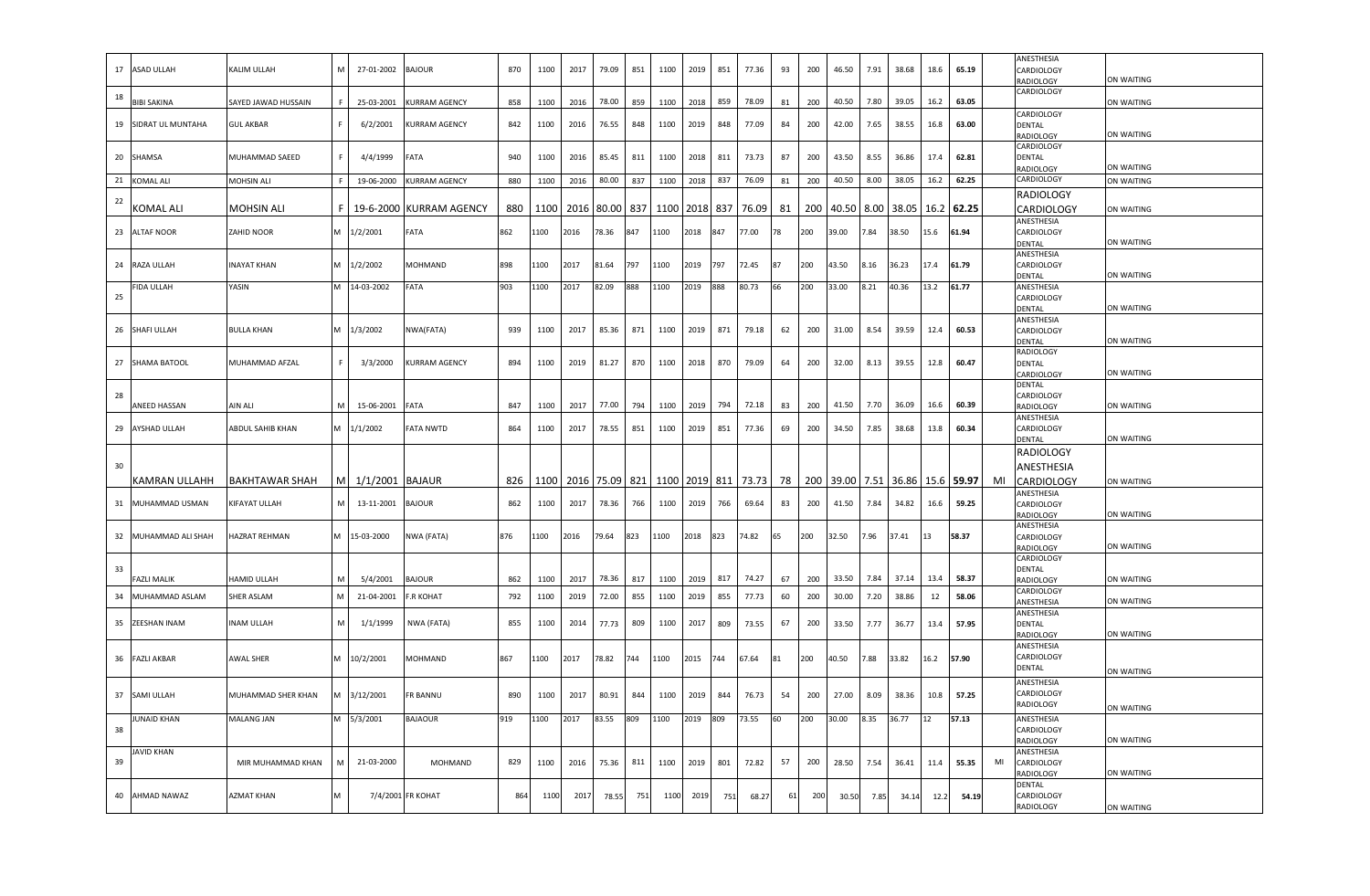|    |                     |                      |     |                 |                         |     |      |                     |       |     |                     |          |     |       |    |     |       |      |                  |      |                  |    | ANESTHESIA                      |                   |
|----|---------------------|----------------------|-----|-----------------|-------------------------|-----|------|---------------------|-------|-----|---------------------|----------|-----|-------|----|-----|-------|------|------------------|------|------------------|----|---------------------------------|-------------------|
| 17 | ASAD ULLAH          | KALIM ULLAH          | M   | 27-01-2002      | <b>BAJOUR</b>           | 870 | 1100 | 2017                | 79.09 | 851 | 1100                | 2019     | 851 | 77.36 | 93 | 200 | 46.50 | 7.91 | 38.68            | 18.6 | 65.19            |    | CARDIOLOGY<br>RADIOLOGY         | ON WAITING        |
|    |                     |                      |     |                 |                         |     |      |                     |       |     |                     |          |     |       |    |     |       |      |                  |      |                  |    | CARDIOLOGY                      |                   |
| 18 | <b>BIBI SAKINA</b>  | SAYED JAWAD HUSSAIN  |     | 25-03-2001      | <b>KURRAM AGENCY</b>    | 858 | 1100 | 2016                | 78.00 | 859 | 1100                | 2018     | 859 | 78.09 | 81 | 200 | 40.50 | 7.80 | 39.05            | 16.2 | 63.05            |    |                                 | ON WAITING        |
| 19 | SIDRAT UL MUNTAHA   | <b>GUL AKBAR</b>     |     | 6/2/2001        | <b>KURRAM AGENCY</b>    | 842 |      |                     |       | 848 | 1100                | 2019     | 848 | 77.09 | 84 | 200 |       |      |                  |      | 63.00            |    | CARDIOLOGY<br>DENTAL            |                   |
|    |                     |                      |     |                 |                         |     | 1100 | 2016                | 76.55 |     |                     |          |     |       |    |     | 42.00 | 7.65 | 38.55            | 16.8 |                  |    | RADIOLOGY                       | ON WAITING        |
|    |                     |                      |     |                 |                         |     |      |                     |       |     |                     |          |     |       |    |     |       |      |                  |      |                  |    | CARDIOLOGY                      |                   |
| 20 | SHAMSA              | MUHAMMAD SAEED       | F.  | 4/4/1999        | FATA                    | 940 | 1100 | 2016                | 85.45 | 811 | 1100                | 2018     | 811 | 73.73 | 87 | 200 | 43.50 | 8.55 | 36.86            | 17.4 | 62.81            |    | <b>DENTAL</b>                   |                   |
|    |                     |                      |     |                 |                         |     |      |                     |       |     |                     |          |     |       |    |     |       |      |                  |      |                  |    | RADIOLOGY                       | ON WAITING        |
| 21 | KOMAL ALI           | MOHSIN ALI           | F.  | 19-06-2000      | KURRAM AGENCY           | 880 | 1100 | 2016                | 80.00 | 837 | 1100                | 2018     | 837 | 76.09 | 81 | 200 | 40.50 | 8.00 | 38.05            | 16.2 | 62.25            |    | CARDIOLOGY                      | ON WAITING        |
| 22 |                     |                      |     |                 |                         |     |      |                     |       |     |                     |          |     |       |    |     |       |      |                  |      |                  |    | <b>RADIOLOGY</b>                |                   |
|    | <b>COMAL ALI</b>    | MOHSIN ALI           | F I |                 | 19-6-2000 KURRAM AGENCY | 880 | 1100 |                     |       |     | 2016 80.00 837 1100 | 2018 837 |     | 76.09 | 81 | 200 | 40.50 | 8.00 | 38.05 16.2 62.25 |      |                  |    | CARDIOLOGY                      | ON WAITING        |
| 23 | ALTAF NOOR          | ZAHID NOOR           |     | M 1/2/2001      | FATA                    | 862 | 1100 | 2016                | 78.36 | 847 | 1100                | 2018     | 847 | 77.00 | 78 | 200 | 39.00 | 7.84 | 38.50            | 15.6 | 61.94            |    | ANESTHESIA<br>CARDIOLOGY        |                   |
|    |                     |                      |     |                 |                         |     |      |                     |       |     |                     |          |     |       |    |     |       |      |                  |      |                  |    | DENTAL                          | ON WAITING        |
|    |                     |                      |     |                 |                         |     |      |                     |       |     |                     |          |     |       |    |     |       |      |                  |      |                  |    | ANESTHESIA                      |                   |
| 24 | RAZA ULLAH          | <b>INAYAT KHAN</b>   |     | M 1/2/2002      | <b>MOHMAND</b>          | 898 | 1100 | 2017                | 81.64 | 797 | 1100                | 2019     | 797 | 72.45 | 87 | 200 | 43.50 | 8.16 | 36.23            | 17.4 | 61.79            |    | CARDIOLOGY                      |                   |
|    | <b>IDA ULLAH</b>    | YASIN                |     | VI 14-03-2002   | FATA                    | 903 | 1100 | 2017                | 82.09 | 888 | 1100                | 2019     | 888 | 80.73 | 66 | 200 | 33.00 | B.21 | 40.36            | 13.2 | 61.77            |    | DENTAL<br>ANESTHESIA            | ON WAITING        |
| 25 |                     |                      |     |                 |                         |     |      |                     |       |     |                     |          |     |       |    |     |       |      |                  |      |                  |    | CARDIOLOGY                      |                   |
|    |                     |                      |     |                 |                         |     |      |                     |       |     |                     |          |     |       |    |     |       |      |                  |      |                  |    | DENTAL                          | ON WAITING        |
|    |                     |                      |     |                 |                         |     |      |                     |       |     |                     |          |     |       |    |     |       |      |                  |      |                  |    | ANESTHESIA                      |                   |
| 26 | SHAFI ULLAH         | <b>BULLA KHAN</b>    |     | M 1/3/2002      | NWA(FATA)               | 939 | 1100 | 2017                | 85.36 | 871 | 1100                | 2019     | 871 | 79.18 | 62 | 200 | 31.00 | 8.54 | 39.59            | 12.4 | 60.53            |    | CARDIOLOGY<br>DENTAL            | ON WAITING        |
|    |                     |                      |     |                 |                         |     |      |                     |       |     |                     |          |     |       |    |     |       |      |                  |      |                  |    | RADIOLOGY                       |                   |
| 27 | SHAMA BATOOL        | MUHAMMAD AFZAL       |     | 3/3/2000        | <b>KURRAM AGENCY</b>    | 894 | 1100 | 2019                | 81.27 | 870 | 1100                | 2018     | 870 | 79.09 | 64 | 200 | 32.00 | 8.13 | 39.55            | 12.8 | 60.47            |    | <b>DENTAL</b>                   |                   |
|    |                     |                      |     |                 |                         |     |      |                     |       |     |                     |          |     |       |    |     |       |      |                  |      |                  |    | CARDIOLOGY                      | ON WAITING        |
| 28 |                     |                      |     |                 |                         |     |      |                     |       |     |                     |          |     |       |    |     |       |      |                  |      |                  |    | <b>DENTAL</b><br>CARDIOLOGY     |                   |
|    | <b>INEED HASSAN</b> | AIN ALI              | M   | 15-06-2001      | FATA                    | 847 | 1100 | 2017                | 77.00 | 794 | 1100                | 2019     | 794 | 72.18 | 83 | 200 | 41.50 | 7.70 | 36.09            | 16.6 | 60.39            |    | RADIOLOGY                       | ON WAITING        |
|    |                     |                      |     |                 |                         |     |      |                     |       |     |                     |          |     |       |    |     |       |      |                  |      |                  |    | ANESTHESIA                      |                   |
| 29 | <b>AYSHAD ULLAH</b> | ABDUL SAHIB KHAN     |     | M 1/1/2002      | <b>FATA NWTD</b>        | 864 | 1100 | 2017                | 78.55 | 851 | 1100                | 2019     | 851 | 77.36 | 69 | 200 | 34.50 | 7.85 | 38.68            | 13.8 | 60.34            |    | CARDIOLOGY                      | ON WAITING        |
|    |                     |                      |     |                 |                         |     |      |                     |       |     |                     |          |     |       |    |     |       |      |                  |      |                  |    | DENTAL<br>RADIOLOGY             |                   |
| 30 |                     |                      |     |                 |                         |     |      |                     |       |     |                     |          |     |       |    |     |       |      |                  |      |                  |    |                                 |                   |
|    |                     |                      |     |                 |                         |     |      |                     |       |     |                     |          |     |       |    |     |       |      |                  |      |                  |    | ANESTHESIA                      |                   |
|    | KAMRAN ULLAHH       | BAKHTAWAR SHAH       | M   | 1/1/2001 BAJAUR |                         | 826 |      | 1100 2016 75.09 821 |       |     | 1100 2019 811       |          |     | 73.73 | 78 | 200 | 39.00 | 7.51 |                  |      | 36.86 15.6 59.97 | MI | <b>CARDIOLOGY</b><br>ANESTHESIA | ON WAITING        |
| 31 | MUHAMMAD USMAN      | KIFAYAT ULLAH        | M   | 13-11-2001      | <b>BAJOUR</b>           | 862 | 1100 | 2017                | 78.36 | 766 | 1100                | 2019     | 766 | 69.64 | 83 | 200 | 41.50 | 7.84 | 34.82            | 16.6 | 59.25            |    | CARDIOLOGY                      |                   |
|    |                     |                      |     |                 |                         |     |      |                     |       |     |                     |          |     |       |    |     |       |      |                  |      |                  |    | RADIOLOGY                       | ON WAITING        |
|    |                     |                      |     |                 |                         |     |      |                     |       |     |                     |          |     |       |    |     |       |      |                  |      |                  |    | ANESTHESIA                      |                   |
| 32 | MUHAMMAD ALI SHAH   | <b>IAZRAT REHMAN</b> |     | M 15-03-2000    | NWA (FATA)              | 876 | 1100 | 2016                | 79.64 | 823 | 1100                | 2018     | 823 | 74.82 | 65 | 200 | 32.50 | 7.96 | 37.41            | 13   | 58.37            |    | CARDIOLOGY<br>RADIOLOGY         | ON WAITING        |
|    |                     |                      |     |                 |                         |     |      |                     |       |     |                     |          |     |       |    |     |       |      |                  |      |                  |    | CARDIOLOGY                      |                   |
| 33 |                     |                      |     |                 |                         |     |      |                     |       |     |                     |          |     |       |    |     |       |      |                  |      |                  |    | <b>DENTAL</b>                   |                   |
|    | AZLI MALIK          | HAMID ULLAH          | м   | 5/4/2001        | <b>BAJOUR</b>           | 862 | 1100 | 2017                | 78.36 | 817 | 1100                | 2019     | 817 | 74.27 | 67 | 200 | 33.50 | 7.84 | 37.14            | 13.4 | 58.37            |    | RADIOLOGY<br>CARDIOLOGY         | ON WAITING        |
| 34 | MUHAMMAD ASLAM      | SHER ASLAM           | M   | 21-04-2001      | <b>F.R KOHAT</b>        | 792 | 1100 | 2019                | 72.00 | 855 | 1100                | 2019     | 855 | 77.73 | 60 | 200 | 30.00 | 7.20 | 38.86            | 12   | 58.06            |    | ANESTHESIA                      | ON WAITING        |
|    |                     |                      |     |                 |                         |     |      |                     |       |     |                     |          |     |       |    |     |       |      |                  |      |                  |    | ANESTHESIA                      |                   |
| 35 | ZEESHAN INAM        | <b>NAM ULLAH</b>     |     | 1/1/1999        | NWA (FATA)              | 855 | 1100 | 2014                | 77.73 | 809 | 1100                | 2017     | 809 | 73.55 | 67 | 200 | 33.50 | 7.77 | 36.77            | 13.4 | 57.95            |    | DENTAL                          |                   |
|    |                     |                      |     |                 |                         |     |      |                     |       |     |                     |          |     |       |    |     |       |      |                  |      |                  |    | RADIOLOGY                       | ON WAITING        |
| 36 | <b>FAZLI AKBAR</b>  | AWAL SHER            |     | M 10/2/2001     | MOHMAND                 | 867 | 1100 | 2017                | 78.82 | 744 | 1100                | 2015     | 744 | 67.64 | 81 | 200 | 40.50 | 7.88 | 33.82            | 16.2 | 57.90            |    | ANESTHESIA<br>CARDIOLOGY        |                   |
|    |                     |                      |     |                 |                         |     |      |                     |       |     |                     |          |     |       |    |     |       |      |                  |      |                  |    | <b>DENTAL</b>                   | ON WAITING        |
|    |                     |                      |     |                 |                         |     |      |                     |       |     |                     |          |     |       |    |     |       |      |                  |      |                  |    | ANESTHESIA                      |                   |
| 37 | SAMI ULLAH          | MUHAMMAD SHER KHAN   |     | M 3/12/2001     | <b>FR BANNU</b>         | 890 | 1100 | 2017                | 80.91 | 844 | 1100                | 2019     | 844 | 76.73 | 54 | 200 | 27.00 | 8.09 | 38.36            | 10.8 | 57.25            |    | CARDIOLOGY                      |                   |
|    |                     |                      |     |                 |                         |     |      |                     |       |     |                     |          |     |       |    |     |       |      |                  |      |                  |    | RADIOLOGY                       | ON WAITING        |
|    | <b>JUNAID KHAN</b>  | MALANG JAN           |     | 5/3/2001        | <b>BAJAOUR</b>          | 919 | 1100 | 2017                | 83.55 | 809 | 1100                | 2019     | 809 | 73.55 | 60 | 200 | 30.00 | 8.35 | 36.77            | 12   | 57.13            |    | ANESTHESIA                      |                   |
| 38 |                     |                      |     |                 |                         |     |      |                     |       |     |                     |          |     |       |    |     |       |      |                  |      |                  |    | CARDIOLOGY<br>RADIOLOGY         | ON WAITING        |
|    | <b>AVID KHAN</b>    |                      |     |                 |                         |     |      |                     |       |     |                     |          |     |       |    |     |       |      |                  |      |                  |    | ANESTHESIA                      |                   |
| 39 |                     | MIR MUHAMMAD KHAN    | M   | 21-03-2000      | MOHMAND                 | 829 | 1100 | 2016                | 75.36 | 811 | 1100                | 2019     | 801 | 72.82 | 57 | 200 | 28.50 | 7.54 | 36.41            | 11.4 | 55.35            | MI | CARDIOLOGY                      |                   |
|    |                     |                      |     |                 |                         |     |      |                     |       |     |                     |          |     |       |    |     |       |      |                  |      |                  |    | RADIOLOGY<br>DENTAL             | ON WAITING        |
| 40 | AHMAD NAWAZ         | <b>AZMAT KHAN</b>    |     |                 | 7/4/2001 FR KOHAT       | 864 | 1100 | 2017                | 78.55 | 751 | 1100                | 2019     | 751 | 68.27 | 61 | 200 | 30.50 | 7.85 | 34.14            | 12.2 | 54.19            |    | CARDIOLOGY                      |                   |
|    |                     |                      |     |                 |                         |     |      |                     |       |     |                     |          |     |       |    |     |       |      |                  |      |                  |    | <b>RADIOLOGY</b>                | <b>ON WAITING</b> |
|    |                     |                      |     |                 |                         |     |      |                     |       |     |                     |          |     |       |    |     |       |      |                  |      |                  |    |                                 |                   |